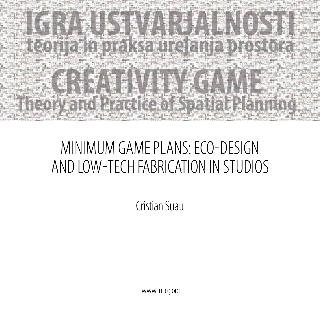

## MINIMUM GAME PLANS: Eco-Design and Low-Tech Fabrication in Studios

Cristian Suau

www.iu-cg.org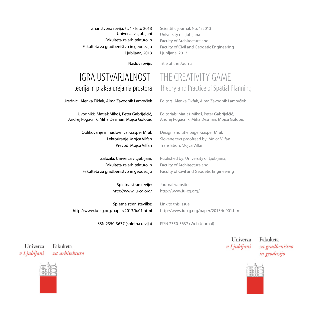Znanstvena revija, št. 1 / leto 2013 Univerza v Ljubljani Fakulteta za arhitekturo in Fakulteta za gradbeništvo in geodezijo Ljubljana, 2013

Scientific journal, No. 1/2013 University of Ljubljana Faculty of Architecture and Faculty of Civil and Geodetic Engineering Ljubljana, 2013

THE CREATIVITY GAME

Theory and Practice of Spatial Planning

Editors: Alenka Fikfak, Alma Zavodnik Lamovšek

Editorials: Matjaž Mikoš, Peter Gabrijelčič, Andrej Pogačnik, Miha Dešman, Mojca Golobič

Design and title page: Gašper Mrak Slovene text proofread by: Mojca Vilfan

Published by: University of Ljubljana,

Faculty of Civil and Geodetic Engineering

Translation: Mojca Vilfan

Faculty of Architecture and

Journal website: http://www.iu-cg.org/

Naslov revije: Title of the Journal:

## IGRA USTVARJALNOSTI teorija in praksa urejanja prostora

Urednici: Alenka Fikfak, Alma Zavodnik Lamovšek

Uvodniki: Matjaž Mikoš, Peter Gabrijelčič, Andrej Pogačnik, Miha Dešman, Mojca Golobič

> Oblikovanje in naslovnica: Gašper Mrak Lektoriranje: Mojca Vilfan Prevod: Mojca Vilfan

> Založila: Univerza v Ljubljani, Fakulteta za arhitekturo in Fakulteta za gradbeništvo in geodezijo

> > Spletna stran revije: http://www.iu-cg.org/

Spletna stran številke: http://www.iu-cg.org/paper/2013/iu01.html Link to this issue: http://www.iu-cg.org/paper/2013/iu001.html

ISSN 2350-3637 (spletna revija)

ISSN 2350-3637 (Web Journal)

Univerza v Ljubljani

Fakulteta za gradbeništvo in geodezijo



Fakulteta Univerza v Ljubljani za arhitekturo

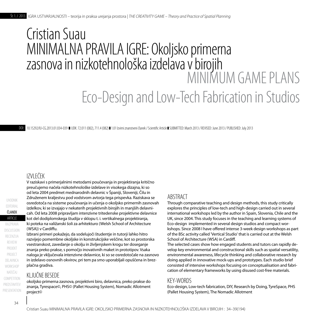# Cristian Suau MINIMALNA PRAVILA IGRE: Okoljsko primerna zasnova in nizkotehnološka izdeláva v birojih MINIMUM GAME PLANS Eco-Design and Low-Tech Fabrication in Studios

DOI: 10.15292/IU-CG.2013.01.034-039 UDK: 72.011 (082), 711.4 (082) 1.01 Izvirni znanstveni članek / Scientific Article SUBMITTED: March 2013 / REVISED: June 2013 / PUBLISHED: July 2013

## IZVLEČEK

V raziskavi s primerjalnimi metodami poučevanja in projektiranja kritično preučujemo načela nizkotehnološke izdelave in visokega dizajna, ki so od leta 2004 predmet mednarodnih delavnic v Španiji, Sloveniji, Čilu in Združenem kraljestvu pod vodstvom avtorja tega prispevka. Raziskava se osredotoča na sisteme poučevanja in učenja o okoljsko primernih zasnovah izdelkov, ki se izvajajo v nekaterih projektivnih birojih in manjših delavnicah. Od leta 2008 pripravljam intenzivne tritedenske projektivne delavnice kot del dodiplomskega študija v sklopu t. i. vertikalnega projektiranja, ki poteka na valižanski šoli za arhitekturo (Welsh School of Architecture (WSA)) v Cardiffu.

Izbrani primeri pokažejo, da sodelujoči študentje in tutorji lahko hitro razvijejo pomembne okoljske in konstrukcijske veščine, kot so prostorska vsestranskost, zavedanje o okolju in življenjskem krogu ter doseganje znanja preko prakse, s pomočjo inovativnih maket in prototipov. Vsaka naloga je vključevala intenzivne delavnice, ki so se osredotočale na zasnovo in izdelavo osnovnih okvirov, pri tem pa smo uporabljali opuščena in brezplačna gradiva.

## KLJUČNE BESEDE

okoljsko primerna zasnova, projektivni biro, delavnica, preko prakse do znanja, Tyrespace©, PHS© (Pallet Housing System), Nomadic Allotment project©

## ABSTRACT

Through comparative teaching and design methods, this study critically explores the principles of low-tech and high-design carried out in several international workshops led by the author in Spain, Slovenia, Chile and the UK, since 2004. This study focuses in the teaching and learning systems of Eco-design implemented in several design studios and compact workshops. Since 2008 I have offered intense 3-week design workshops as part of the BSc activity called 'Vertical Studio' that is carried out at the Welsh School of Architecture (WSA) in Cardiff.

The selected cases show how engaged students and tutors can rapidly develop key environmental and constructional skills such as spatial versatility, environmental awareness, lifecycle thinking and collaborative research by doing applied in innovative mock-ups and prototypes. Each studio brief consisted of intensive workshops focusing on conceptualisation and fabrication of elementary frameworks by using disused cost-free materials.

### KEY-WORDS

Eco-design, Low-tech fabrication, DIY, Research by Doing, TyreSpace, PHS (Pallet Housing System), The Nomadic Allotment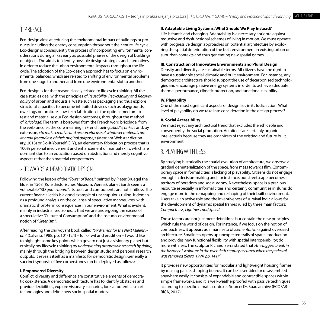## 1. Preface

Eco-design aims at reducing the environmental impact of buildings or products, including the energy consumption throughout their entire life cycle. Eco-design is consequently the process of incorporating environmental considerations during all (as early as possible) phases of the design of buildings or objects. The aim is to identify possible design strategies and alternatives in order to reduce the urban environmental impacts throughout the life cycle. The adoption of the Eco-design approach has to focus on environmental balances, which are related to shifting of environmental problems from one stage to another and from one environmental slot to another.

Eco-design is for that reason closely related to life cycle thinking. All the case studies deal with the principles of *Reusability, Recyclability* and *Recoverability* of urban and industrial waste such as packaging and thus explore structural capacities to become inhabited devices such as playgrounds, dwellings or furniture. Low-tech fabrication is the optimal medium to test and materialise our Eco-design outcomes, throughout the method of *'bricolage'.* The term is borrowed from the French word bricolage, from the verb bricoler, the core meaning in French being, *»fiddle, tinker«* and, by extension*, »to make creative and resourceful use of whatever materials are at hand (regardless of their original purpose)«* (Merriam-Webster dictionary, 2013) or Do-It-Yourself (DIY), an elementary fabrication process that is 100% personal involvement and enhancement of manual skills, which are dormant due to an education based on abstraction and merely cognitive aspects rather than material competences.

## 2. Towards a Democratic Design

Following the lesson of the *"Tower of Babel"* painted by Pieter Bruegel the Elder in 1563 (Kunsthistorisches Museum, Vienna), planet Earth seems a vulnerable "3D *game board"*. Its tools and components are not limitless. The current financial crisis is a good example of unscrupulous ruling. It demands a profound analysis on the collapse of speculative manoeuvres, with dramatic short-term consequences in our environment. What is evident, mainly in industrialised zones, is that we are undergoing the excess of a speculative "Culture of Consumption" and the pseudo-environmental notion of *"Greenism"*.

After reading the clairvoyant book called *"Six Memos for the Next Millennium"* (Calvino, 1988, pp. 101-124) – full of wit and erudition – I would like to highlight some key points which govern not just a visionary planet but ethically my lifecycle thinking by *underpinning progressive research by doing,*  mainly through the bridging between design studio and personal research outputs. It reveals itself as a manifesto for democratic design. Generally a succinct synopsis of five cornerstones can be deployed as follows:

#### **I. Empowered Diversity**

Conflict, diversity and difference are constitutive elements of democratic coexistence. A democratic architecture has to identify obstacles and provide flexibilities, explore visionary scenarios, look at potential smart technologies and define new socio-spatial models.

#### **II. Adaptable Living Systems: What Should We Play Instead?**

Life is frantic and changing. Adaptability is a necessary antidote against reductive and dysfunctional schemes of living in motion. We must operate with progressive design approaches on potential architecture by exploring the spatial deterioration of the built environment in existing urban or suburban contexts and thus generating new spatial games.

#### **III. Construction of Innovative Environments and Plural Design**

Density and diversity are sustainable terms. All citizens have the right to have a sustainable social, climatic and built environment. For instance, any democratic architecture should support the use of decarbonised technologies and encourage passive energy systems in order to achieve adequate thermal performance, climatic protection, and functional flexibility.

#### **IV. Playability**

One of the most significant aspects of design lies in its ludic action. What level of playability do we take into consideration in the design process?

#### **V. Social Accessibility**

We must reject any architectural trend that excludes the ethic role and consequently the social promotion. Architects are certainly organic intellectuals because they are organizers of the existing and future built environment.

## 3. Playingwith Less

By studying historically the spatial evolution of architecture, we observe a gradual dematerialization of the space, from mass towards film. Contemporary space in formal cities is lacking of playability. Citizens do not engage enough in decision-making and, for instance, our streetscape becomes a territory of boredom and social agony. Nevertheless, space is a precious resource especially in informal cities and certainly communities in slums do engage more in the remapping and reshaping of their built environment. Users take an active role and the inventiveness of survival logic allows for the development of dynamic spatial frames ruled by three main factors: *Compactness, Lightness and Speed.*

Those factors are not just mere definitions but contain the new principles which rule the world of design. For instance, if we focus on the notion of compactness, it appears as a manifesto of *Elementarism* against oversized architecture. Smallness opens up unexpected trails of spatial production and provides new functional flexibility with spatial interoperability; do more with less. The sculptor Richard Serra stated that *»the biggest break in the history of sculpture in the twentieth century occurred when the pedestal was removed (Serra, 1994, pp. 141)."*

It provides new opportunities for modular and lightweight housing frames by reusing pallets shipping boards. It can be assembled or disassembled anywhere easily. It consists of expandable and contractible spaces within simple frameworks, and it is well-weatherproofed with passive techniques according to specific climatic contexts. Source: Dr. Suau archive (ECOFAB-RICA, 2012).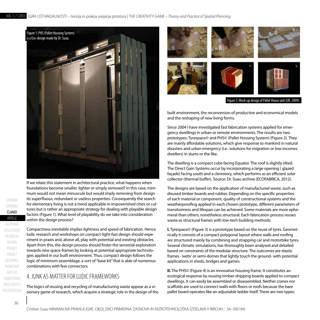

If we relate this statement in architectural practice, what happens when foundations become smaller, lighter or simply removed? In this case, minimum would not mean minuscule but would imply removing from design its superfluous, redundant or useless properties. Consequently the search for elementary living is not a trend applicable in impoverished cities or cultures but is rather an appropriate strategy for dealing with playable design factors (Figure 1). What level of playability do we take into consideration within the design process?

Compactness inevitable implies lightness and speed of fabrication. Hence ludic research and workshops on compact-light-fast design should experiment in praxis and, above all, play with potential and existing obstacles. Apart from this, the design process should foster the sensorial exploration towards new space-frames by looking at potential appropriate technologies applied in our built environment. Thus, compact design follows the logic of minimum assemblage, a sort of "base kit" that is able of numerous combinations with few connectors.

## 4. JUNK AS MATTER FOR LUDIC FRAMEWORKS

The logics of reusing and recycling of manufacturing waste appear as a visionary game of research, which acquire a strategic role in the design of the



built environment, the reconversion of productive and economical models and the reshaping of new living forms.

Since 2004 I have investigated fast fabrication systems applied for emergency dwellings in urban or remote environments. The results are two prototypes: Tyrespace© and PHS© (Pallet Housing System) (Figure 2). They are mainly affordable solutions, which give response to mankind in natural disasters and *urban emergency* (i.e.: solutions for migration or low-incomes dwellers) in slums or the like.

The dwelling is a compact cube facing Equator. The roof is slightly tilted. The Direct Gain Systems occur by incorporating a large opening ( glazed façade) facing south and a clerestory, which performs as an efficient solar collector (thermal buffer). Source: Dr. Suau archive (ECOFABRICA, 2012).

The designs are based on the application of manufactured waste, such as disused timber boards and rubber. Depending on the specific properties of each material or component, quality of constructional systems and the weatherproofing applied in each chosen prototype, different parameters of transitoriness and lifespan can be achieved. Some materials are more ephemeral than others, nonetheless structural. Each fabrication process reuses waste as structural frames with low-tech building methods:

**I.** Tyrespace© (Figure 3) is a-prototype based on the reuse of tyres. Geometrically it consists of a compact polygonal layout where walls and roofing are structured mainly by combining and strapping car and motorbike tyres. Several climatic simulations, has thoroughly been analysed and detailed based on constraints of the modular structure. The outcomes are elastic frames -*'webs'* or semi-domes that lightly touch the ground- with potential applications in sheds, bridges and games.

**II.** The PHS© (Figure 4) is an innovative housing frame. It constitutes an ecological response by reusing timber-shipping boards applied to compact dwellings. It can easily be assembled or disassembled. Neither cranes nor scaffolds are used to connect walls with floors or roofs because the bare pallet board operates like an adjustable ladder itself. There are two types: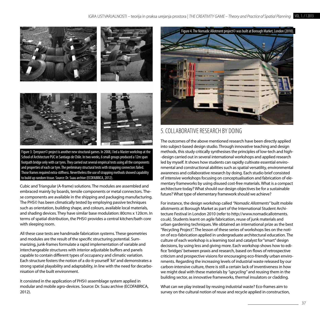

Figure 3: *Tyrespace©* project is another new structural games. In 2008, I led a Master workshop at the School of Architecture PUC in Santiago de Chile. In two weeks, 6 small groups produced a 12m span footpath bridge only with car tyres. They carried out several empirical tests using all the components and properties of each car tyre. The preliminary structural tests with strapping connectors failed. Those frames required extra-stiffness. Nevertheless the use of strapping methods showed capability to build up random tissue. Source: Dr. Suau archive (ECOFABRICA, 2012).

Cubic and Triangular (A-frame) solutions. The modules are assembled and embraced mainly by boards, tensile components or metal connectors. These components are available in the shipping and packaging manufacturing. The PHS© has been climatically tested by employing passive techniques such as orientation, building shape, and colours, available local materials, and shading devices. They have similar base modulation: 80cms x 120cm. In terms of spatial distribution, the PHS© provides a central kitchen/bath core with sleeping room.

All these case tests are handmade fabrication systems. These geometries and modules are the result of the specific structuring potential. Summarizing, junk-frames formulate a rapid implementation of variable and interchangeable structures with interior adjustable buffers and panels capable to contain different types of occupancy and climatic variation. Each structure fosters the notion of a do-it-yourself *'kit'* and demonstrates a strong spatial playability and adaptability, in line with the need for decarbonisation of the built environment.

It consisted in the application of PHS© assemblage system applied in modular and mobile agro-devices. Source: Dr. Suau archive (ECOFABRICA, 2012).



## 5. Collaborative Research by Doing

The outcomes of the above mentioned research have been directly applied into subject-based design studio. Through innovative teaching and design methods, this study critically synthesises the principles of low-tech and high- -design carried out in several international workshops and applied research led by myself. It shows how students can rapidly cultivate essential environmental and constructional abilities such as spatial versatility, environmental awareness and collaborative research by doing. Each studio brief consisted of intensive workshops focusing on conceptualisation and fabrication of elementary frameworks by using disused cost-free materials. What is a compact architecture today? What should our design objectives be for a sustainable future? What type of elementary framework should we achieve?

For instance, the design workshop called *"Nomadic Allotments"* built mobile allotments at Borough Market as part of the International Student Architecture Festival in London 2010 (refer to http://www.nomadicallotments. co.uk). Students learnt on agile fabrication, reuse of junk materials and urban gardening techniques. We obtained an international prize as the best "Recycling Project". The lesson of these series of workshops lies on the notion of eco-fabrication applied in undergraduate architectural education. The culture of each workshop is a learning tool and catalyst for "smart" design decisions, by using less and giving more. Each workshop shows how to edifice 'bridges' between praxis and research, based on flows of retrospective criticism and prospective visions for encouraging eco-friendly urban environments. Regarding the increasing levels of industrial waste released by our carbon-intensive culture, there is still a certain lack of inventiveness in how we might deal with these materials by *"upcycling"* and reusing them in the building sector, as innovative frameworks, thermal insulators or cladding.

What can we play instead by reusing industrial waste? Eco-frames aim to survey on the cultural notion of reuse and recycle applied in construction,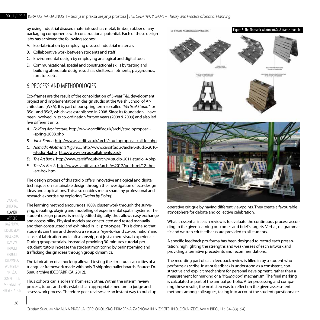by using industrial disused materials such as metal, timber, rubber or any packaging components with constructional potential. Each of these design labs has achieved the following scopes:

- A. Eco-fabrication by employing disused industrial materials
- B. Collaborative work between students and staff
- C. Environmental design by employing analogical and digital tools
- D. Communicational, spatial and constructional skills by testing and building affordable designs such as shelters, allotments, playgrounds, furniture, etc.

## 6. Process and Methodologies

Eco-frames are the result of the consolidation of 5-year T&L development project and implementation in design studio at the Welsh School of Architecture (WSA). It is part of our spring term so-called *"Vertical Studio"* for BSc1 and BSc2, which was established in 2008. Since its foundation, I have been involved in its co-ordination for two years (2008 & 2009) and also led five different units:

- *A. Folding Architecture:* http://www.cardiff.ac.uk/archi/studioproposal- -spring-2008.php
- *B. Junk-Frame:* http://www.cardiff.ac.uk/archi/studioproposal-call-for.php
- *C. Nomadic Allotments (Figure 5):* http://www.cardiff.ac.uk/archi/v-studio-2010- -studio\_4.php , http://www.nomadicallotments.co.uk
- *D. The Art Box 1:* http://www.cardiff.ac.uk/archi/v-studio-2011-studio\_4.php
- *E. The Art Box 2:* http://www.cardiff.ac.uk/archi/vs2012/pdf-html/12-the- -art-box.html

The design process of this studio offers innovative analogical and digital techniques on sustainable design through the investigation of eco-design ideas and applications. This also enables me to share my professional and research expertise by exploring *'Design by Doing'.*

The learning method encourages 100% cluster work through the surveying, debating, playing and modelling of experimental spatial systems. The student design process is mostly edited digitally, thus allows easy exchange and accessibility. Physical models are constructed and tested manually and then constructed and exhibited in 1:1 prototypes. This is done so that students can train and develop a sensorial "eye-to-hand co-ordination" and sense of fabrication and craftsmanship, not just a mere visual experience. During group tutorials, instead of providing 30-minutes-tutorial-per- -student, tutors increase the student monitoring by brainstorming and trafficking design ideas through group dynamics.

The fabrication of a mock-up allowed testing the structural capacities of a triangular framework made with only 3 shipping pallet boards. Source: Dr. Suau archive (ECOFABRICA, 2012).

Thus cohorts can also learn from each other. Within the interim review process, tutors and crits establish an appropriate medium to judge and assess work process. Therefore peer-reviews are an instant way to build up





operative critique by having different viewpoints. They create a favourable atmosphere for debate and collective celebration.

What is essential in each review is to evaluate the continuous process according to the given learning outcomes and brief's targets. Verbal, diagrammatic and written crit feedbacks are provided to all students.

A specific feedback pro-forma has been designed to record each presentation; highlighting the strengths and weaknesses of each artwork and providing alternative precedents and recommendations.

The recording part of each feedback review is filled in by a student who performs as scribe. Instant feedback is understood as a consistent, constructive and explicit mechanism for personal development, rather than a measurement for marking or a *"ticking box"* mechanism. The final marking is calculated as part of the annual portfolio. After processing and comparing these results, the next step was to reflect on the given assessment methods among colleagues, taking into account the student questionnaire.

UVODNIK

EDITORIAL